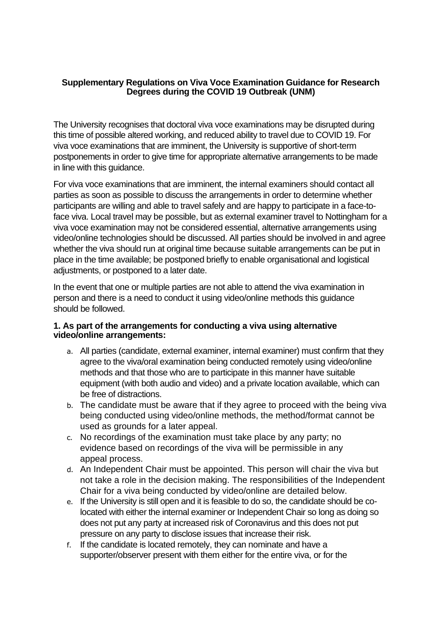#### **Supplementary Regulations on Viva Voce Examination Guidance for Research Degrees during the COVID 19 Outbreak (UNM)**

The University recognises that doctoral viva voce examinations may be disrupted during this time of possible altered working, and reduced ability to travel due to COVID 19. For viva voce examinations that are imminent, the University is supportive of short-term postponements in order to give time for appropriate alternative arrangements to be made in line with this guidance.

For viva voce examinations that are imminent, the internal examiners should contact all parties as soon as possible to discuss the arrangements in order to determine whether participants are willing and able to travel safely and are happy to participate in a face-toface viva. Local travel may be possible, but as external examiner travel to Nottingham for a viva voce examination may not be considered essential, alternative arrangements using video/online technologies should be discussed. All parties should be involved in and agree whether the viva should run at original time because suitable arrangements can be put in place in the time available; be postponed briefly to enable organisational and logistical adjustments, or postponed to a later date.

In the event that one or multiple parties are not able to attend the viva examination in person and there is a need to conduct it using video/online methods this guidance should be followed.

#### **1. As part of the arrangements for conducting a viva using alternative video/online arrangements:**

- a. All parties (candidate, external examiner, internal examiner) must confirm that they agree to the viva/oral examination being conducted remotely using video/online methods and that those who are to participate in this manner have suitable equipment (with both audio and video) and a private location available, which can be free of distractions.
- b. The candidate must be aware that if they agree to proceed with the being viva being conducted using video/online methods, the method/format cannot be used as grounds for a later appeal.
- c. No recordings of the examination must take place by any party; no evidence based on recordings of the viva will be permissible in any appeal process.
- d. An Independent Chair must be appointed. This person will chair the viva but not take a role in the decision making. The responsibilities of the Independent Chair for a viva being conducted by video/online are detailed below.
- e. If the University is still open and it is feasible to do so, the candidate should be colocated with either the internal examiner or Independent Chair so long as doing so does not put any party at increased risk of Coronavirus and this does not put pressure on any party to disclose issues that increase their risk.
- f. If the candidate is located remotely, they can nominate and have a supporter/observer present with them either for the entire viva, or for the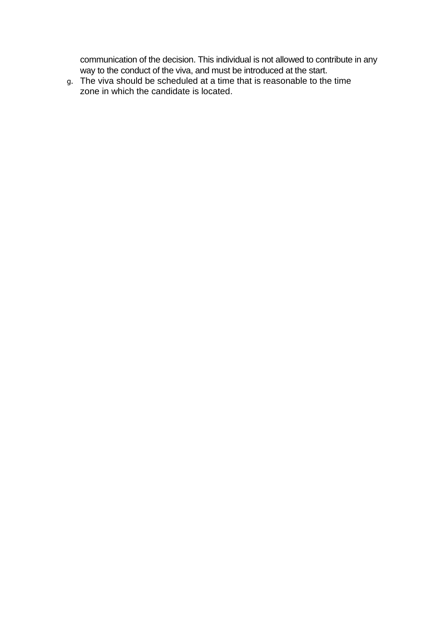communication of the decision. This individual is not allowed to contribute in any way to the conduct of the viva, and must be introduced at the start.

g. The viva should be scheduled at a time that is reasonable to the time zone in which the candidate is located.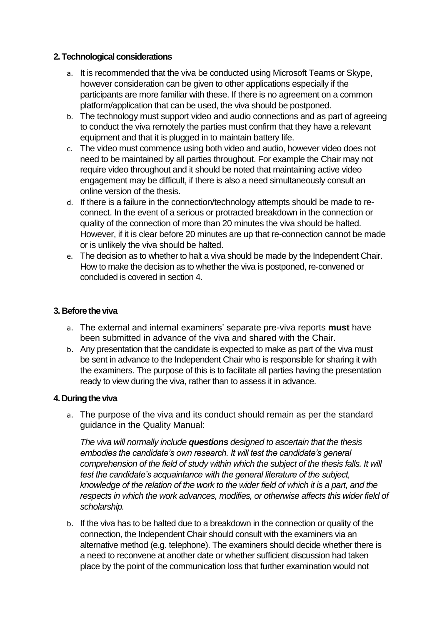### **2. Technological considerations**

- a. It is recommended that the viva be conducted using Microsoft Teams or Skype, however consideration can be given to other applications especially if the participants are more familiar with these. If there is no agreement on a common platform/application that can be used, the viva should be postponed.
- b. The technology must support video and audio connections and as part of agreeing to conduct the viva remotely the parties must confirm that they have a relevant equipment and that it is plugged in to maintain battery life.
- c. The video must commence using both video and audio, however video does not need to be maintained by all parties throughout. For example the Chair may not require video throughout and it should be noted that maintaining active video engagement may be difficult, if there is also a need simultaneously consult an online version of the thesis.
- d. If there is a failure in the connection/technology attempts should be made to reconnect. In the event of a serious or protracted breakdown in the connection or quality of the connection of more than 20 minutes the viva should be halted. However, if it is clear before 20 minutes are up that re-connection cannot be made or is unlikely the viva should be halted.
- e. The decision as to whether to halt a viva should be made by the Independent Chair. How to make the decision as to whether the viva is postponed, re-convened or concluded is covered in section 4.

# **3. Before the viva**

- a. The external and internal examiners' separate pre-viva reports **must** have been submitted in advance of the viva and shared with the Chair.
- b. Any presentation that the candidate is expected to make as part of the viva must be sent in advance to the Independent Chair who is responsible for sharing it with the examiners. The purpose of this is to facilitate all parties having the presentation ready to view during the viva, rather than to assess it in advance.

### **4. During the viva**

a. The purpose of the viva and its conduct should remain as per the standard guidance in the Quality Manual:

*The viva will normally include questions designed to ascertain that the thesis embodies the candidate's own research. It will test the candidate's general comprehension of the field of study within which the subject of the thesis falls. It will test the candidate's acquaintance with the general literature of the subject, knowledge of the relation of the work to the wider field of which it is a part, and the respects in which the work advances, modifies, or otherwise affects this wider field of scholarship.*

b. If the viva has to be halted due to a breakdown in the connection or quality of the connection, the Independent Chair should consult with the examiners via an alternative method (e.g. telephone). The examiners should decide whether there is a need to reconvene at another date or whether sufficient discussion had taken place by the point of the communication loss that further examination would not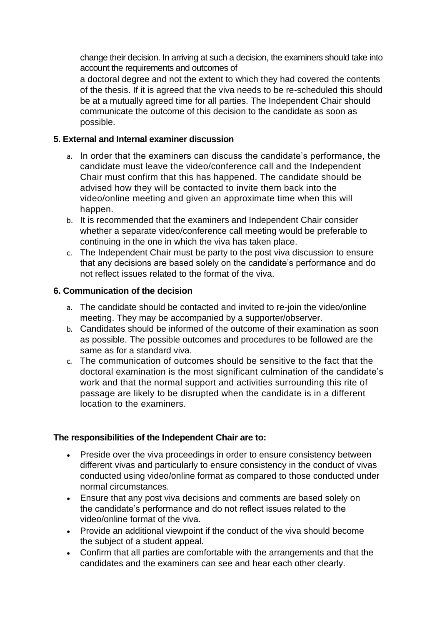change their decision. In arriving at such a decision, the examiners should take into account the requirements and outcomes of

a doctoral degree and not the extent to which they had covered the contents of the thesis. If it is agreed that the viva needs to be re-scheduled this should be at a mutually agreed time for all parties. The Independent Chair should communicate the outcome of this decision to the candidate as soon as possible.

# **5. External and Internal examiner discussion**

- a. In order that the examiners can discuss the candidate's performance, the candidate must leave the video/conference call and the Independent Chair must confirm that this has happened. The candidate should be advised how they will be contacted to invite them back into the video/online meeting and given an approximate time when this will happen.
- b. It is recommended that the examiners and Independent Chair consider whether a separate video/conference call meeting would be preferable to continuing in the one in which the viva has taken place.
- c. The Independent Chair must be party to the post viva discussion to ensure that any decisions are based solely on the candidate's performance and do not reflect issues related to the format of the viva.

### **6. Communication of the decision**

- a. The candidate should be contacted and invited to re-join the video/online meeting. They may be accompanied by a supporter/observer.
- b. Candidates should be informed of the outcome of their examination as soon as possible. The possible outcomes and procedures to be followed are the same as for a standard viva.
- c. The communication of outcomes should be sensitive to the fact that the doctoral examination is the most significant culmination of the candidate's work and that the normal support and activities surrounding this rite of passage are likely to be disrupted when the candidate is in a different location to the examiners.

### **The responsibilities of the Independent Chair are to:**

- Preside over the viva proceedings in order to ensure consistency between different vivas and particularly to ensure consistency in the conduct of vivas conducted using video/online format as compared to those conducted under normal circumstances.
- Ensure that any post viva decisions and comments are based solely on the candidate's performance and do not reflect issues related to the video/online format of the viva.
- Provide an additional viewpoint if the conduct of the viva should become the subject of a student appeal.
- Confirm that all parties are comfortable with the arrangements and that the candidates and the examiners can see and hear each other clearly.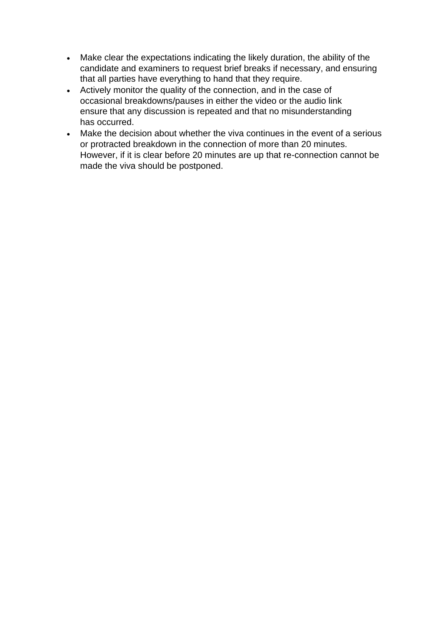- Make clear the expectations indicating the likely duration, the ability of the candidate and examiners to request brief breaks if necessary, and ensuring that all parties have everything to hand that they require.
- Actively monitor the quality of the connection, and in the case of occasional breakdowns/pauses in either the video or the audio link ensure that any discussion is repeated and that no misunderstanding has occurred.
- Make the decision about whether the viva continues in the event of a serious or protracted breakdown in the connection of more than 20 minutes. However, if it is clear before 20 minutes are up that re-connection cannot be made the viva should be postponed.